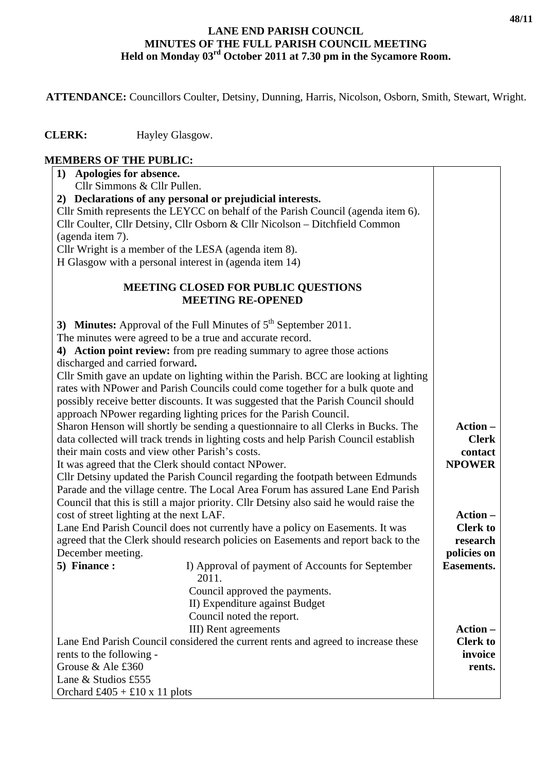## **LANE END PARISH COUNCIL MINUTES OF THE FULL PARISH COUNCIL MEETING Held on Monday 03rd October 2011 at 7.30 pm in the Sycamore Room.**

 **ATTENDANCE:** Councillors Coulter, Detsiny, Dunning, Harris, Nicolson, Osborn, Smith, Stewart, Wright.

 **CLERK:** Hayley Glasgow.

| <b>MEMBERS OF THE PUBLIC:</b>                                                     |                                                                                        |                   |  |
|-----------------------------------------------------------------------------------|----------------------------------------------------------------------------------------|-------------------|--|
| 1) Apologies for absence.                                                         |                                                                                        |                   |  |
| Cllr Simmons & Cllr Pullen.                                                       |                                                                                        |                   |  |
|                                                                                   | 2) Declarations of any personal or prejudicial interests.                              |                   |  |
|                                                                                   | Cllr Smith represents the LEYCC on behalf of the Parish Council (agenda item 6).       |                   |  |
|                                                                                   | Cllr Coulter, Cllr Detsiny, Cllr Osborn & Cllr Nicolson - Ditchfield Common            |                   |  |
| (agenda item 7).                                                                  |                                                                                        |                   |  |
|                                                                                   | Cllr Wright is a member of the LESA (agenda item 8).                                   |                   |  |
|                                                                                   | H Glasgow with a personal interest in (agenda item 14)                                 |                   |  |
|                                                                                   | <b>MEETING CLOSED FOR PUBLIC QUESTIONS</b><br><b>MEETING RE-OPENED</b>                 |                   |  |
|                                                                                   | 3) Minutes: Approval of the Full Minutes of $5th$ September 2011.                      |                   |  |
| The minutes were agreed to be a true and accurate record.                         |                                                                                        |                   |  |
| discharged and carried forward.                                                   | 4) Action point review: from pre reading summary to agree those actions                |                   |  |
|                                                                                   | Cllr Smith gave an update on lighting within the Parish. BCC are looking at lighting   |                   |  |
|                                                                                   | rates with NPower and Parish Councils could come together for a bulk quote and         |                   |  |
|                                                                                   | possibly receive better discounts. It was suggested that the Parish Council should     |                   |  |
|                                                                                   | approach NPower regarding lighting prices for the Parish Council.                      |                   |  |
|                                                                                   | Sharon Henson will shortly be sending a questionnaire to all Clerks in Bucks. The      | Action -          |  |
|                                                                                   | data collected will track trends in lighting costs and help Parish Council establish   | <b>Clerk</b>      |  |
| their main costs and view other Parish's costs.                                   |                                                                                        | contact           |  |
|                                                                                   | It was agreed that the Clerk should contact NPower.                                    | <b>NPOWER</b>     |  |
|                                                                                   | Cllr Detsiny updated the Parish Council regarding the footpath between Edmunds         |                   |  |
|                                                                                   | Parade and the village centre. The Local Area Forum has assured Lane End Parish        |                   |  |
|                                                                                   | Council that this is still a major priority. Cllr Detsiny also said he would raise the |                   |  |
| cost of street lighting at the next LAF.                                          |                                                                                        | Action –          |  |
|                                                                                   | Lane End Parish Council does not currently have a policy on Easements. It was          | <b>Clerk to</b>   |  |
|                                                                                   | agreed that the Clerk should research policies on Easements and report back to the     | research          |  |
| December meeting.                                                                 |                                                                                        | policies on       |  |
| 5) Finance :                                                                      | I) Approval of payment of Accounts for September<br>2011.                              | <b>Easements.</b> |  |
|                                                                                   | Council approved the payments.                                                         |                   |  |
|                                                                                   | II) Expenditure against Budget                                                         |                   |  |
|                                                                                   | Council noted the report.                                                              |                   |  |
|                                                                                   | III) Rent agreements                                                                   | Action -          |  |
| Lane End Parish Council considered the current rents and agreed to increase these |                                                                                        | <b>Clerk to</b>   |  |
| rents to the following -                                                          |                                                                                        | invoice           |  |
| Grouse & Ale £360                                                                 |                                                                                        | rents.            |  |
| Lane & Studios £555                                                               |                                                                                        |                   |  |
| Orchard £405 + £10 x 11 plots                                                     |                                                                                        |                   |  |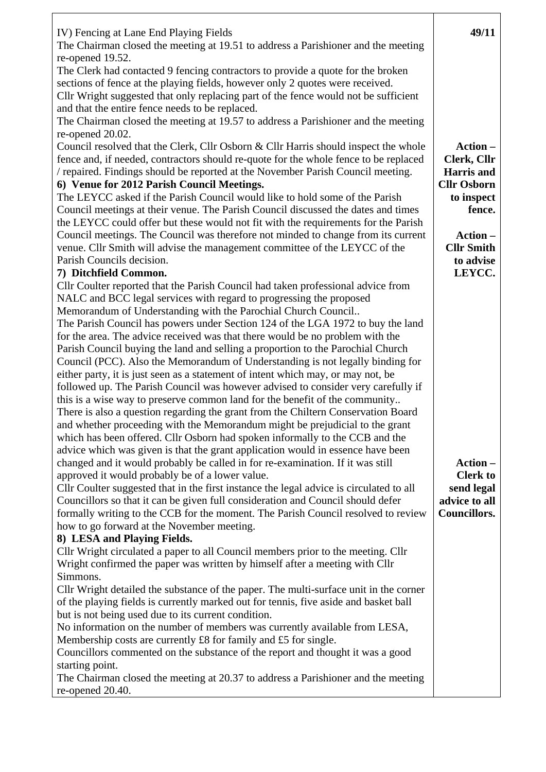| IV) Fencing at Lane End Playing Fields                                                                                                                            | 49/11               |
|-------------------------------------------------------------------------------------------------------------------------------------------------------------------|---------------------|
| The Chairman closed the meeting at 19.51 to address a Parishioner and the meeting<br>re-opened 19.52.                                                             |                     |
| The Clerk had contacted 9 fencing contractors to provide a quote for the broken                                                                                   |                     |
| sections of fence at the playing fields, however only 2 quotes were received.                                                                                     |                     |
| Cllr Wright suggested that only replacing part of the fence would not be sufficient                                                                               |                     |
| and that the entire fence needs to be replaced.                                                                                                                   |                     |
| The Chairman closed the meeting at 19.57 to address a Parishioner and the meeting                                                                                 |                     |
| re-opened 20.02.                                                                                                                                                  |                     |
| Council resolved that the Clerk, Cllr Osborn & Cllr Harris should inspect the whole                                                                               | Action-             |
| fence and, if needed, contractors should re-quote for the whole fence to be replaced                                                                              | Clerk, Cllr         |
| / repaired. Findings should be reported at the November Parish Council meeting.                                                                                   | <b>Harris</b> and   |
| 6) Venue for 2012 Parish Council Meetings.                                                                                                                        | <b>Cllr Osborn</b>  |
| The LEYCC asked if the Parish Council would like to hold some of the Parish                                                                                       | to inspect          |
| Council meetings at their venue. The Parish Council discussed the dates and times                                                                                 | fence.              |
| the LEYCC could offer but these would not fit with the requirements for the Parish                                                                                |                     |
| Council meetings. The Council was therefore not minded to change from its current                                                                                 | Action -            |
| venue. Cllr Smith will advise the management committee of the LEYCC of the                                                                                        | <b>Cllr Smith</b>   |
| Parish Councils decision.<br>7) Ditchfield Common.                                                                                                                | to advise<br>LEYCC. |
| Cllr Coulter reported that the Parish Council had taken professional advice from                                                                                  |                     |
| NALC and BCC legal services with regard to progressing the proposed                                                                                               |                     |
| Memorandum of Understanding with the Parochial Church Council                                                                                                     |                     |
| The Parish Council has powers under Section 124 of the LGA 1972 to buy the land                                                                                   |                     |
| for the area. The advice received was that there would be no problem with the                                                                                     |                     |
| Parish Council buying the land and selling a proportion to the Parochial Church                                                                                   |                     |
| Council (PCC). Also the Memorandum of Understanding is not legally binding for                                                                                    |                     |
| either party, it is just seen as a statement of intent which may, or may not, be                                                                                  |                     |
| followed up. The Parish Council was however advised to consider very carefully if                                                                                 |                     |
| this is a wise way to preserve common land for the benefit of the community                                                                                       |                     |
| There is also a question regarding the grant from the Chiltern Conservation Board                                                                                 |                     |
| and whether proceeding with the Memorandum might be prejudicial to the grant                                                                                      |                     |
| which has been offered. Cllr Osborn had spoken informally to the CCB and the                                                                                      |                     |
| advice which was given is that the grant application would in essence have been<br>changed and it would probably be called in for re-examination. If it was still | Action -            |
| approved it would probably be of a lower value.                                                                                                                   | <b>Clerk to</b>     |
| Cllr Coulter suggested that in the first instance the legal advice is circulated to all                                                                           | send legal          |
| Councillors so that it can be given full consideration and Council should defer                                                                                   | advice to all       |
| formally writing to the CCB for the moment. The Parish Council resolved to review                                                                                 | Councillors.        |
| how to go forward at the November meeting.                                                                                                                        |                     |
| 8) LESA and Playing Fields.                                                                                                                                       |                     |
| Cllr Wright circulated a paper to all Council members prior to the meeting. Cllr                                                                                  |                     |
| Wright confirmed the paper was written by himself after a meeting with Cllr                                                                                       |                     |
| Simmons.                                                                                                                                                          |                     |
| Cllr Wright detailed the substance of the paper. The multi-surface unit in the corner                                                                             |                     |
| of the playing fields is currently marked out for tennis, five aside and basket ball                                                                              |                     |
| but is not being used due to its current condition.                                                                                                               |                     |
| No information on the number of members was currently available from LESA,                                                                                        |                     |
| Membership costs are currently £8 for family and £5 for single.<br>Councillors commented on the substance of the report and thought it was a good                 |                     |
| starting point.                                                                                                                                                   |                     |
| The Chairman closed the meeting at 20.37 to address a Parishioner and the meeting                                                                                 |                     |
| re-opened 20.40.                                                                                                                                                  |                     |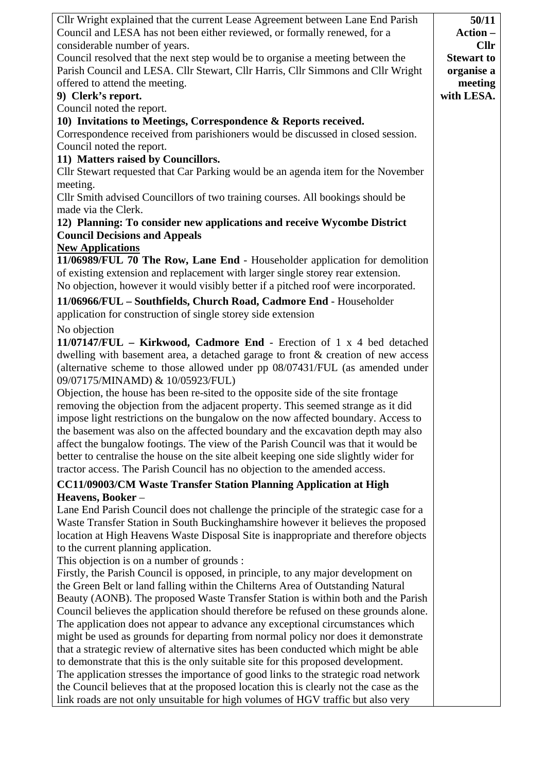| Cllr Wright explained that the current Lease Agreement between Lane End Parish         | 50/11             |
|----------------------------------------------------------------------------------------|-------------------|
| Council and LESA has not been either reviewed, or formally renewed, for a              | <b>Action -</b>   |
| considerable number of years.                                                          | <b>Cllr</b>       |
| Council resolved that the next step would be to organise a meeting between the         | <b>Stewart to</b> |
| Parish Council and LESA. Cllr Stewart, Cllr Harris, Cllr Simmons and Cllr Wright       | organise a        |
| offered to attend the meeting.                                                         | meeting           |
| 9) Clerk's report.                                                                     | with LESA.        |
| Council noted the report.                                                              |                   |
| 10) Invitations to Meetings, Correspondence & Reports received.                        |                   |
| Correspondence received from parishioners would be discussed in closed session.        |                   |
| Council noted the report.                                                              |                   |
| 11) Matters raised by Councillors.                                                     |                   |
| Cllr Stewart requested that Car Parking would be an agenda item for the November       |                   |
| meeting.                                                                               |                   |
| Cllr Smith advised Councillors of two training courses. All bookings should be         |                   |
| made via the Clerk.                                                                    |                   |
| 12) Planning: To consider new applications and receive Wycombe District                |                   |
| <b>Council Decisions and Appeals</b>                                                   |                   |
| <b>New Applications</b>                                                                |                   |
| 11/06989/FUL 70 The Row, Lane End - Householder application for demolition             |                   |
| of existing extension and replacement with larger single storey rear extension.        |                   |
| No objection, however it would visibly better if a pitched roof were incorporated.     |                   |
| 11/06966/FUL - Southfields, Church Road, Cadmore End - Householder                     |                   |
| application for construction of single storey side extension                           |                   |
| No objection                                                                           |                   |
| 11/07147/FUL - Kirkwood, Cadmore End - Erection of 1 x 4 bed detached                  |                   |
| dwelling with basement area, a detached garage to front & creation of new access       |                   |
| (alternative scheme to those allowed under pp 08/07431/FUL (as amended under           |                   |
| 09/07175/MINAMD) & 10/05923/FUL)                                                       |                   |
| Objection, the house has been re-sited to the opposite side of the site frontage       |                   |
| removing the objection from the adjacent property. This seemed strange as it did       |                   |
| impose light restrictions on the bungalow on the now affected boundary. Access to      |                   |
| the basement was also on the affected boundary and the excavation depth may also       |                   |
| affect the bungalow footings. The view of the Parish Council was that it would be      |                   |
| better to centralise the house on the site albeit keeping one side slightly wider for  |                   |
| tractor access. The Parish Council has no objection to the amended access.             |                   |
| <b>CC11/09003/CM Waste Transfer Station Planning Application at High</b>               |                   |
| Heavens, Booker-                                                                       |                   |
| Lane End Parish Council does not challenge the principle of the strategic case for a   |                   |
| Waste Transfer Station in South Buckinghamshire however it believes the proposed       |                   |
| location at High Heavens Waste Disposal Site is inappropriate and therefore objects    |                   |
| to the current planning application.                                                   |                   |
| This objection is on a number of grounds :                                             |                   |
| Firstly, the Parish Council is opposed, in principle, to any major development on      |                   |
| the Green Belt or land falling within the Chilterns Area of Outstanding Natural        |                   |
| Beauty (AONB). The proposed Waste Transfer Station is within both and the Parish       |                   |
| Council believes the application should therefore be refused on these grounds alone.   |                   |
| The application does not appear to advance any exceptional circumstances which         |                   |
| might be used as grounds for departing from normal policy nor does it demonstrate      |                   |
| that a strategic review of alternative sites has been conducted which might be able    |                   |
| to demonstrate that this is the only suitable site for this proposed development.      |                   |
| The application stresses the importance of good links to the strategic road network    |                   |
| the Council believes that at the proposed location this is clearly not the case as the |                   |
| link roads are not only unsuitable for high volumes of HGV traffic but also very       |                   |